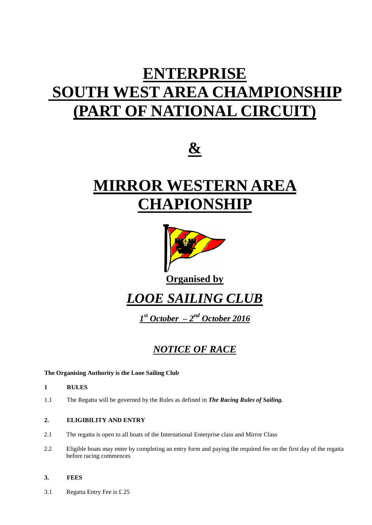# **ENTERPRISE SOUTH WEST AREA CHAMPIONSHIP (PART OF NATIONAL CIRCUIT)**



# **MIRROR WESTERN AREA CHAPIONSHIP**



**Organised by**

*LOOE SAILING CLUB*

*1 st October – 2 nd October 2016*

# *NOTICE OF RACE*

# **The Organising Authority is the Looe Sailing Club**

- **1 RULES**
- 1.1 The Regatta will be governed by the Rules as defined in *The Racing Rules of Sailing.*

# **2. ELIGIBILITY AND ENTRY**

- 2.1 The regatta is open to all boats of the International Enterprise class and Mirror Class
- 2.2 Eligible boats may enter by completing an entry form and paying the required fee on the first day of the regatta before racing commences

# **3. FEES**

3.1 Regatta Entry Fee is £ 25